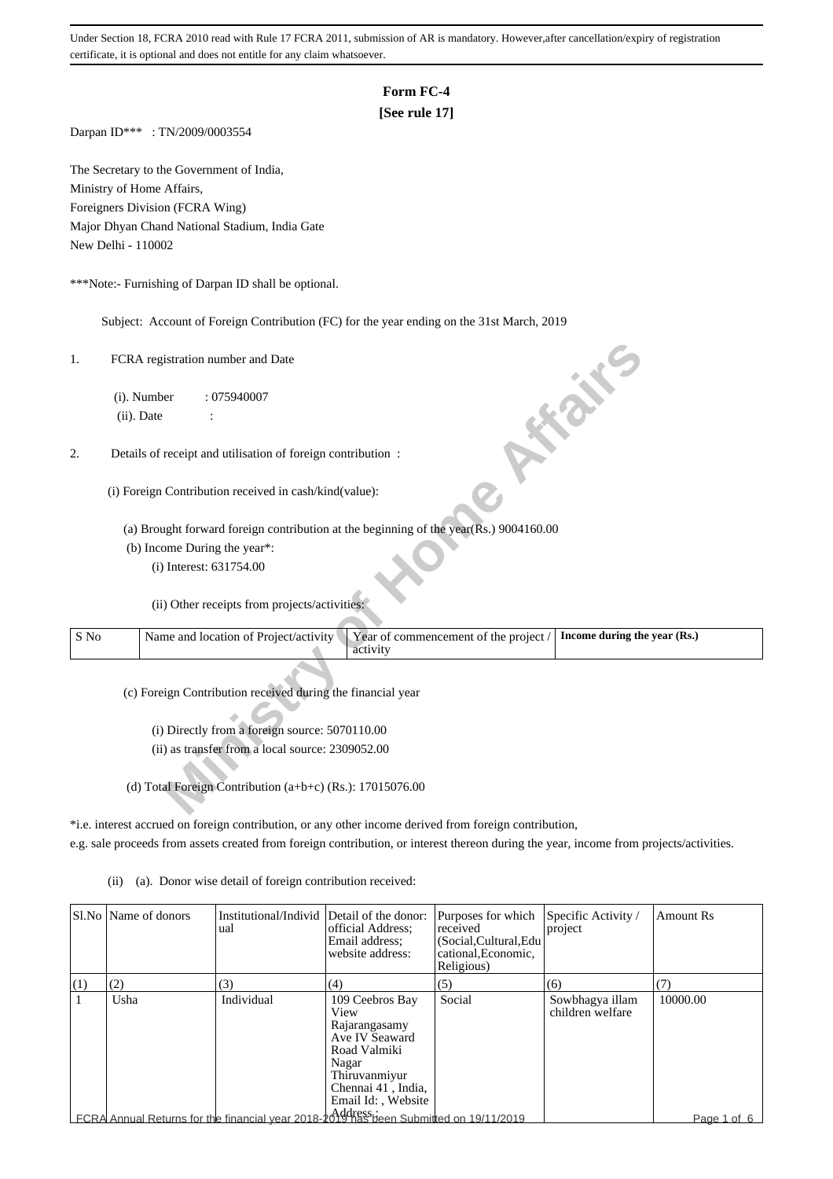# **Form FC-4**

## **[See rule 17]**

Darpan ID\*\*\* : TN/2009/0003554

The Secretary to the Government of India, Ministry of Home Affairs, Foreigners Division (FCRA Wing) Major Dhyan Chand National Stadium, India Gate New Delhi - 110002

\*\*\*Note:- Furnishing of Darpan ID shall be optional.

Subject: Account of Foreign Contribution (FC) for the year ending on the 31st March, 2019

| 1.   | FCRA registration number and Date<br><b>PONT</b>                                                                           |  |
|------|----------------------------------------------------------------------------------------------------------------------------|--|
|      | (i). Number<br>:075940007                                                                                                  |  |
|      | (ii). Date                                                                                                                 |  |
|      |                                                                                                                            |  |
| 2.   | Details of receipt and utilisation of foreign contribution :                                                               |  |
|      | (i) Foreign Contribution received in cash/kind(value):                                                                     |  |
|      | (a) Brought forward foreign contribution at the beginning of the year(Rs.) 9004160.00                                      |  |
|      | (b) Income During the year*:                                                                                               |  |
|      | (i) Interest: 631754.00                                                                                                    |  |
|      | (ii) Other receipts from projects/activities:                                                                              |  |
| S No | Name and location of Project/activity<br>Year of commencement of the project /<br>Income during the year (Rs.)<br>activity |  |
|      | (c) Foreign Contribution received during the financial year                                                                |  |
|      | (i) Directly from a foreign source: 5070110.00                                                                             |  |
|      | (ii) as transfer from a local source: 2309052.00                                                                           |  |
|      |                                                                                                                            |  |
|      | (d) Total Foreign Contribution (a+b+c) (Rs.): 17015076.00                                                                  |  |

\*i.e. interest accrued on foreign contribution, or any other income derived from foreign contribution, e.g. sale proceeds from assets created from foreign contribution, or interest thereon during the year, income from projects/activities.

(ii) (a). Donor wise detail of foreign contribution received:

|     | SLNo Name of donors | Institutional/Individ Detail of the donor:<br>ual                                     | official Address;<br>Email address;<br>website address:                                                                                          | Purposes for which<br>received<br>(Social, Cultural, Edu<br>cational, Economic,<br>Religious) | Specific Activity /<br>project      | <b>Amount Rs</b> |
|-----|---------------------|---------------------------------------------------------------------------------------|--------------------------------------------------------------------------------------------------------------------------------------------------|-----------------------------------------------------------------------------------------------|-------------------------------------|------------------|
| (1) | (2)                 | (3)                                                                                   | (4)                                                                                                                                              | (5)                                                                                           | (6)                                 | (7)              |
|     | Usha                | Individual                                                                            | 109 Ceebros Bay<br>View<br>Rajarangasamy<br>Ave IV Seaward<br>Road Valmiki<br>Nagar<br>Thiruvanmiyur<br>Chennai 41, India,<br>Email Id:, Website | Social                                                                                        | Sowbhagya illam<br>children welfare | 10000.00         |
|     |                     | FCRA Annual Returns for the financial year 2018-2019 has been Submitted on 19/11/2019 |                                                                                                                                                  |                                                                                               |                                     | Page 1 of 6      |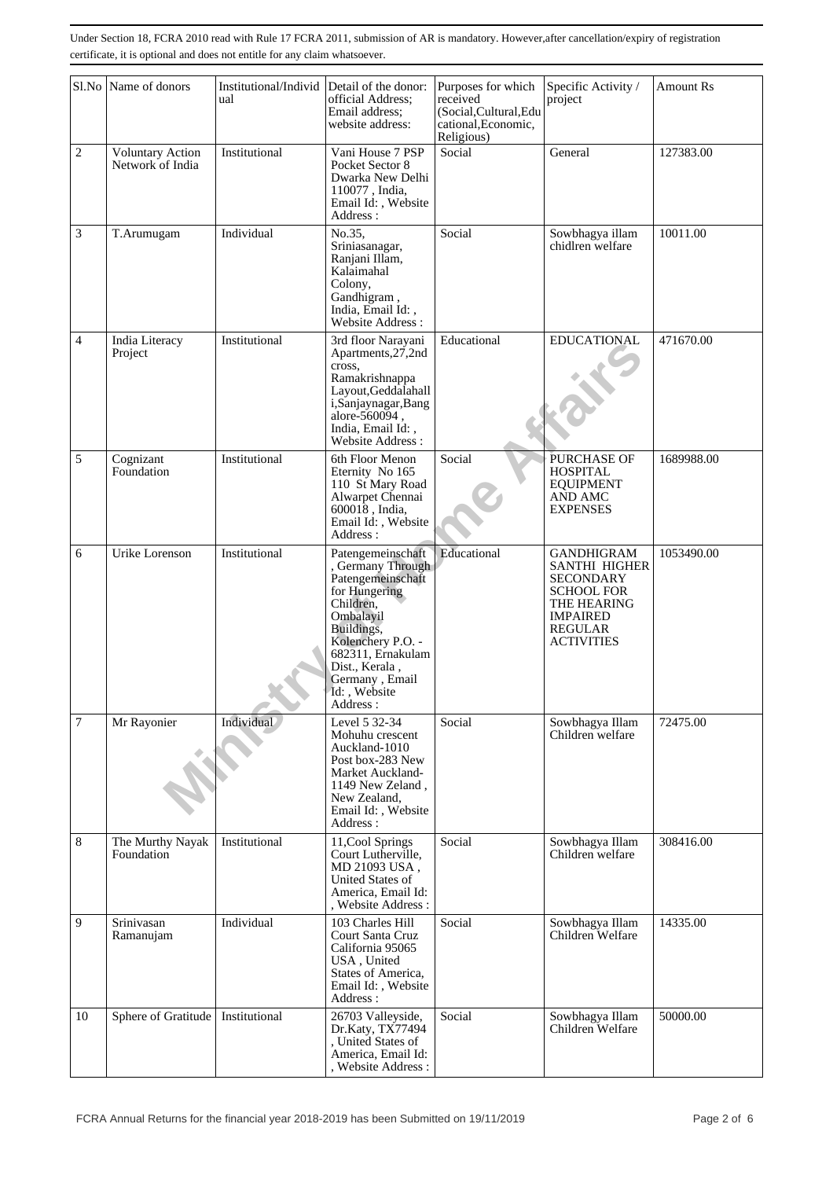|                | Sl.No Name of donors                        | Institutional/Individ Detail of the donor:<br>ual | official Address;<br>Email address:<br>website address:                                                                                                                                                                      | Purposes for which<br>received<br>(Social, Cultural, Edu<br>cational, Economic,<br>Religious) | Specific Activity /<br>project                                                                                                                              | <b>Amount Rs</b> |
|----------------|---------------------------------------------|---------------------------------------------------|------------------------------------------------------------------------------------------------------------------------------------------------------------------------------------------------------------------------------|-----------------------------------------------------------------------------------------------|-------------------------------------------------------------------------------------------------------------------------------------------------------------|------------------|
| $\overline{c}$ | <b>Voluntary Action</b><br>Network of India | Institutional                                     | Social<br>Vani House 7 PSP<br>Pocket Sector 8<br>Dwarka New Delhi<br>110077, India,<br>Email Id:, Website<br>Address:                                                                                                        |                                                                                               | General                                                                                                                                                     | 127383.00        |
| 3              | T.Arumugam                                  | Individual                                        | No.35,<br>Sriniasanagar,<br>Ranjani Illam,<br>Kalaimahal<br>Colony,<br>Gandhigram,<br>India, Email Id:,<br>Website Address:                                                                                                  | Social                                                                                        | Sowbhagya illam<br>chidlren welfare                                                                                                                         | 10011.00         |
| $\overline{4}$ | India Literacy<br>Project                   | Institutional                                     | 3rd floor Narayani<br>Apartments, 27, 2nd<br>cross.<br>Ramakrishnappa<br>Layout, Geddalahall<br>i,Sanjaynagar,Bang<br>alore-560094,<br>India, Email Id:,<br>Website Address:                                                 | Educational                                                                                   | <b>EDUCATIONAL</b>                                                                                                                                          | 471670.00        |
| 5              | Cognizant<br>Foundation                     | Institutional                                     | 6th Floor Menon<br>Eternity No 165<br>110 St Mary Road<br>Alwarpet Chennai<br>600018, India,<br>Email Id:, Website<br>Address:                                                                                               | Social                                                                                        | PURCHASE OF<br><b>HOSPITAL</b><br><b>EQUIPMENT</b><br>AND AMC<br><b>EXPENSES</b>                                                                            | 1689988.00       |
| 6              | Urike Lorenson                              | Institutional                                     | Patengemeinschaft<br>Germany Through<br>Patengemeinschaft<br>for Hungering<br>Children.<br>Ombalayil<br>Buildings,<br>Kolenchery P.O. -<br>682311, Ernakulam<br>Dist., Kerala,<br>Germany, Email<br>Id:, Website<br>Address: | Educational                                                                                   | <b>GANDHIGRAM</b><br><b>SANTHI HIGHER</b><br><b>SECONDARY</b><br><b>SCHOOL FOR</b><br>THE HEARING<br><b>IMPAIRED</b><br><b>REGULAR</b><br><b>ACTIVITIES</b> | 1053490.00       |
| $\overline{7}$ | Mr Rayonier                                 | Individual                                        | Level 5 32-34<br>Mohuhu crescent<br>Auckland-1010<br>Post box-283 New<br>Market Auckland-<br>1149 New Zeland,<br>New Zealand,<br>Email Id:, Website<br>Address:                                                              | Social                                                                                        | Sowbhagya Illam<br>Children welfare                                                                                                                         | 72475.00         |
| 8              | The Murthy Nayak<br>Foundation              | Institutional                                     | 11, Cool Springs<br>Court Lutherville,<br>MD 21093 USA,<br>United States of<br>America, Email Id:<br>, Website Address :                                                                                                     | Social                                                                                        | Sowbhagya Illam<br>Children welfare                                                                                                                         | 308416.00        |
| 9              | Srinivasan<br>Ramanujam                     | Individual                                        | 103 Charles Hill<br>Court Santa Cruz<br>California 95065<br>USA, United<br>States of America,<br>Email Id:, Website<br>Address:                                                                                              | Social                                                                                        | Sowbhagya Illam<br>Children Welfare                                                                                                                         | 14335.00         |
| 10             | Sphere of Gratitude                         | Institutional                                     | 26703 Valleyside,<br>Dr.Katy, TX77494<br>United States of<br>America, Email Id:<br>Website Address:                                                                                                                          | Social                                                                                        | Sowbhagya Illam<br>Children Welfare                                                                                                                         | 50000.00         |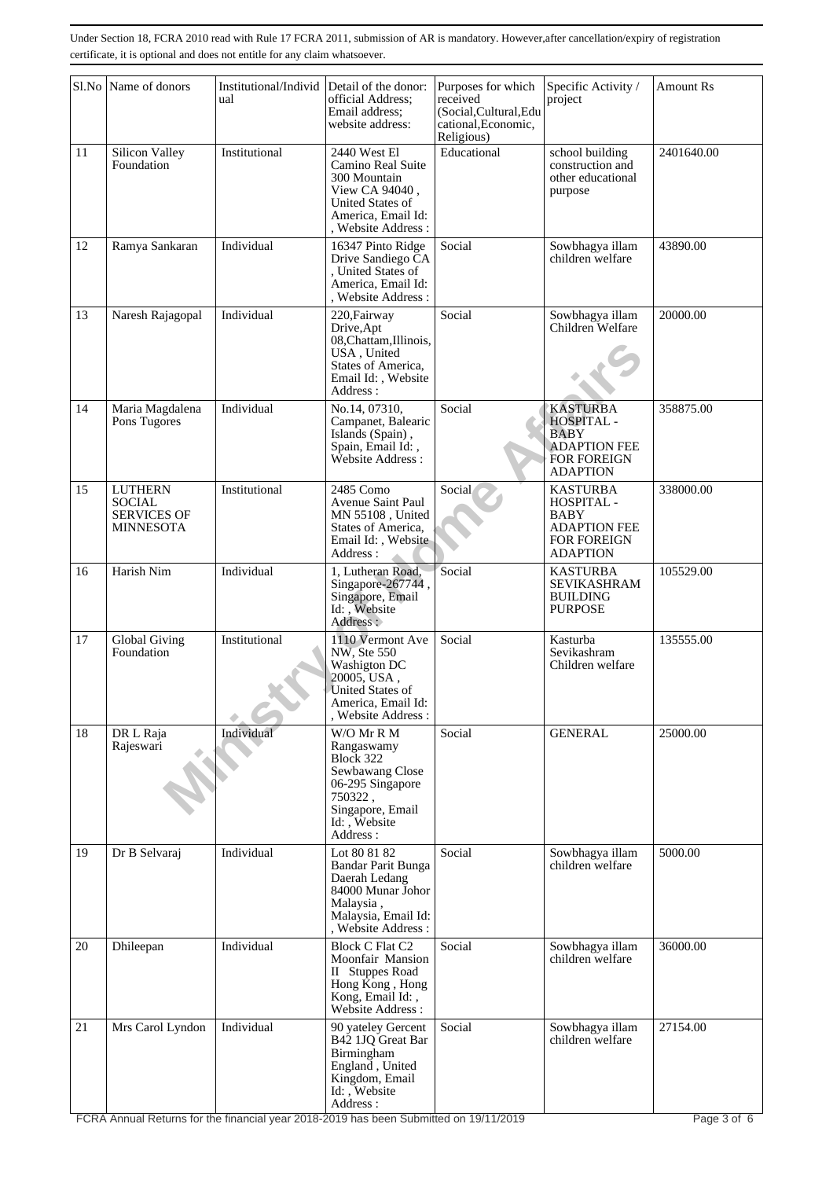|    | Sl.No Name of donors                                                      | Institutional/Individ<br>ual | Detail of the donor:<br>Purposes for which<br>official Address:<br>received<br>(Social, Cultural, Edu<br>Email address:<br>cational, Economic,<br>website address:<br>Religious) |        | Specific Activity /<br>project                                                                        | <b>Amount Rs</b> |
|----|---------------------------------------------------------------------------|------------------------------|----------------------------------------------------------------------------------------------------------------------------------------------------------------------------------|--------|-------------------------------------------------------------------------------------------------------|------------------|
| 11 | Silicon Valley<br>Foundation                                              | Institutional                | Educational<br>2440 West El<br>Camino Real Suite<br>300 Mountain<br>View CA 94040,<br>United States of<br>America, Email Id:<br>, Website Address :                              |        | school building<br>construction and<br>other educational<br>purpose                                   | 2401640.00       |
| 12 | Ramya Sankaran                                                            | Individual                   | 16347 Pinto Ridge<br>Drive Sandiego CA<br>, United States of<br>America, Email Id:<br>, Website Address:                                                                         | Social | Sowbhagya illam<br>children welfare                                                                   | 43890.00         |
| 13 | Naresh Rajagopal                                                          | Individual                   | 220, Fairway<br>Drive, Apt<br>08, Chattam, Illinois,<br>USA, United<br>States of America,<br>Email Id:, Website<br>Address:                                                      | Social | Sowbhagya illam<br>Children Welfare                                                                   | 20000.00         |
| 14 | Maria Magdalena<br>Pons Tugores                                           | Individual                   | No.14, 07310,<br>Campanet, Balearic<br>Islands (Spain),<br>Spain, Email Id:,<br>Website Address:                                                                                 | Social | <b>KASTURBA</b><br>HOSPITAL -<br>BABY<br><b>ADAPTION FEE</b><br>FOR FOREIGN<br><b>ADAPTION</b>        | 358875.00        |
| 15 | <b>LUTHERN</b><br><b>SOCIAL</b><br><b>SERVICES OF</b><br><b>MINNESOTA</b> | Institutional                | 2485 Como<br>Avenue Saint Paul<br>MN 55108, United<br>States of America,<br>Email Id:, Website<br>Address:                                                                       | Social | <b>KASTURBA</b><br>HOSPITAL -<br>BABY<br><b>ADAPTION FEE</b><br><b>FOR FOREIGN</b><br><b>ADAPTION</b> | 338000.00        |
| 16 | Harish Nim                                                                | Individual                   | 1, Lutheran Road,<br>Singapore-267744,<br>Singapore, Email<br>Id: , Website<br>Address :                                                                                         | Social | <b>KASTURBA</b><br><b>SEVIKASHRAM</b><br><b>BUILDING</b><br><b>PURPOSE</b>                            | 105529.00        |
| 17 | Global Giving<br>Foundation                                               | Institutional                | 1110 Vermont Ave<br>NW, Ste 550<br>Washigton DC<br>20005, USA,<br>United States of<br>America, Email Id:<br>, Website Address:                                                   | Social | Kasturba<br>Sevikashram<br>Children welfare                                                           | 135555.00        |
| 18 | DR L Raja<br>Rajeswari                                                    | Individual                   | W/O Mr R M<br>Rangaswamy<br>Block 322<br>Sewbawang Close<br>06-295 Singapore<br>750322,<br>Singapore, Email<br>Id:, Website<br>Address:                                          | Social | <b>GENERAL</b>                                                                                        | 25000.00         |
| 19 | Dr B Selvaraj                                                             | Individual                   | Lot 80 81 82<br>Bandar Parit Bunga<br>Daerah Ledang<br>84000 Munar Johor<br>Malaysia,<br>Malaysia, Email Id:<br>, Website Address:                                               | Social | Sowbhagya illam<br>children welfare                                                                   | 5000.00          |
| 20 | Dhileepan                                                                 | Individual                   | <b>Block C Flat C2</b><br>Moonfair Mansion<br>II Stuppes Road<br>Hong Kong, Hong<br>Kong, Email Id:,<br>Website Address:                                                         | Social | Sowbhagya illam<br>children welfare                                                                   | 36000.00         |
| 21 | Mrs Carol Lyndon                                                          | Individual                   | 90 yateley Gercent<br>B42 1JQ Great Bar<br>Birmingham<br>England, United<br>Kingdom, Email<br>Id:, Website<br>Address:                                                           | Social | Sowbhagya illam<br>children welfare                                                                   | 27154.00         |

FCRA Annual Returns for the financial year 2018-2019 has been Submitted on 19/11/2019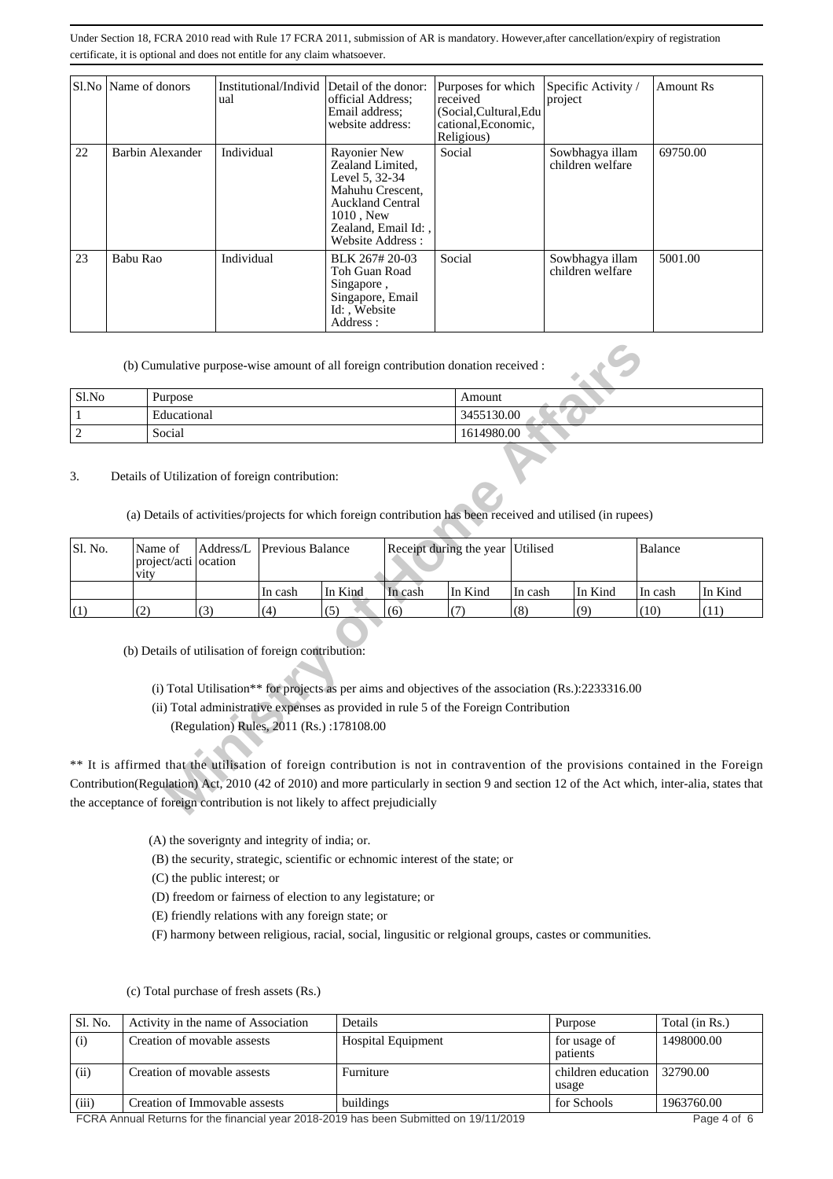|    | Sl.No   Name of donors | Institutional/Individ Detail of the donor:<br>ual | official Address:<br>Email address:<br>website address:                                                                                                                | Purposes for which<br>received<br>(Social, Cultural, Edu<br>cational, Economic,<br>Religious) | Specific Activity /<br>project      | Amount Rs |
|----|------------------------|---------------------------------------------------|------------------------------------------------------------------------------------------------------------------------------------------------------------------------|-----------------------------------------------------------------------------------------------|-------------------------------------|-----------|
| 22 | Barbin Alexander       | Individual                                        | Social<br>Rayonier New<br>Zealand Limited,<br>Level 5, 32-34<br>Mahuhu Crescent,<br><b>Auckland Central</b><br>$1010$ , New<br>Zealand, Email Id:,<br>Website Address: |                                                                                               | Sowbhagya illam<br>children welfare | 69750.00  |
| 23 | Babu Rao               | Individual                                        | BLK 267#20-03<br>Toh Guan Road<br>Singapore,<br>Singapore, Email<br>Id:, Website<br>Address:                                                                           | Social                                                                                        | Sowbhagya illam<br>children welfare | 5001.00   |

| Sl.No | Purpose     | Amount     |
|-------|-------------|------------|
|       | Educational | 3455130.00 |
|       | Social      | 1614980.00 |

|              | (b) Cumulative purpose-wise amount of all foreign contribution donation received :                                                                              |           |                  |                                          |                                                                                                                                                                                             |         |          |         |                |                                                                                                                                                                                                                                                                                  |
|--------------|-----------------------------------------------------------------------------------------------------------------------------------------------------------------|-----------|------------------|------------------------------------------|---------------------------------------------------------------------------------------------------------------------------------------------------------------------------------------------|---------|----------|---------|----------------|----------------------------------------------------------------------------------------------------------------------------------------------------------------------------------------------------------------------------------------------------------------------------------|
| Sl.No        | Purpose                                                                                                                                                         |           |                  |                                          |                                                                                                                                                                                             | Amount  |          |         |                |                                                                                                                                                                                                                                                                                  |
| $\mathbf{1}$ | Educational                                                                                                                                                     |           |                  |                                          | 3455130.00                                                                                                                                                                                  |         |          |         |                |                                                                                                                                                                                                                                                                                  |
| $\sqrt{2}$   | Social                                                                                                                                                          |           |                  | 1614980.00                               |                                                                                                                                                                                             |         |          |         |                |                                                                                                                                                                                                                                                                                  |
| 3.           | Details of Utilization of foreign contribution:<br>(a) Details of activities/projects for which foreign contribution has been received and utilised (in rupees) |           |                  |                                          |                                                                                                                                                                                             |         |          |         |                |                                                                                                                                                                                                                                                                                  |
| Sl. No.      | Name of<br>project/acti ocation<br>vity                                                                                                                         | Address/L | Previous Balance |                                          | Receipt during the year                                                                                                                                                                     |         | Utilised |         | <b>Balance</b> |                                                                                                                                                                                                                                                                                  |
|              |                                                                                                                                                                 |           | In cash          | In Kind                                  | In cash                                                                                                                                                                                     | In Kind | In cash  | In Kind | In cash        | In Kind                                                                                                                                                                                                                                                                          |
| (1)          | (2)                                                                                                                                                             | (3)       | (4)              | (5)                                      | (6)                                                                                                                                                                                         | (7)     | (8)      | (9)     | (10)           | (11)                                                                                                                                                                                                                                                                             |
|              | (b) Details of utilisation of foreign contribution:                                                                                                             |           |                  | (Regulation) Rules, 2011 (Rs.):178108.00 | (i) Total Utilisation** for projects as per aims and objectives of the association (Rs.):2233316.00<br>(ii) Total administrative expenses as provided in rule 5 of the Foreign Contribution |         |          |         |                | ** It is affirmed that the utilisation of foreign contribution is not in contravention of the provisions contained in the Foreign<br>Contribution(Regulation) Act, 2010 (42 of 2010) and more particularly in section 9 and section 12 of the Act which, inter-alia, states that |
|              | the acceptance of foreign contribution is not likely to affect prejudicially                                                                                    |           |                  |                                          |                                                                                                                                                                                             |         |          |         |                |                                                                                                                                                                                                                                                                                  |

(A) the soverignty and integrity of india; or.

(B) the security, strategic, scientific or echnomic interest of the state; or

(C) the public interest; or

- (D) freedom or fairness of election to any legistature; or
- (E) friendly relations with any foreign state; or

(F) harmony between religious, racial, social, lingusitic or relgional groups, castes or communities.

| Sl. No. | Activity in the name of Association | Details                   | Purpose                     | Total (in Rs.) |
|---------|-------------------------------------|---------------------------|-----------------------------|----------------|
| (i)     | Creation of movable assests         | <b>Hospital Equipment</b> | for usage of<br>patients    | 1498000.00     |
| (ii)    | Creation of movable assests         | Furniture                 | children education<br>usage | 32790.00       |
| (iii)   | Creation of Immovable assests       | buildings                 | for Schools                 | 1963760.00     |

(c) Total purchase of fresh assets (Rs.)

FCRA Annual Returns for the financial year 2018-2019 has been Submitted on 19/11/2019

Page 4 of 6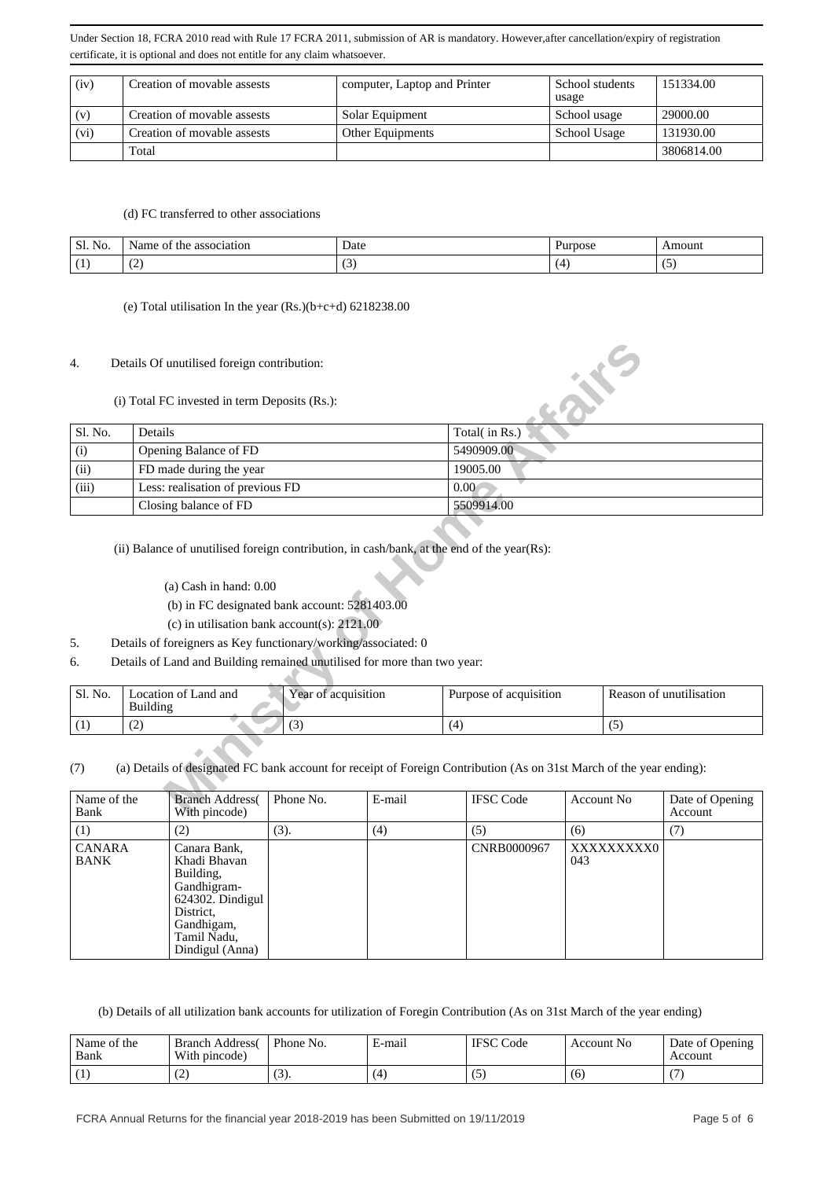| (iv) | Creation of movable assests | computer, Laptop and Printer | School students<br>usage | 151334.00  |
|------|-----------------------------|------------------------------|--------------------------|------------|
| (v)  | Creation of movable assests | Solar Equipment              | School usage             | 29000.00   |
| (vi) | Creation of movable assests | Other Equipments             | School Usage             | 131930.00  |
|      | Total                       |                              |                          | 3806814.00 |

#### (d) FC transferred to other associations

| Sl.<br>No. | association<br>.var<br>ОI<br>ПC<br>$\mathbf{d} \mathbf{d}$ | Date | urpose <sup>7</sup> | <br>.mouni |
|------------|------------------------------------------------------------|------|---------------------|------------|
| . .        | $\overline{\phantom{0}}$                                   |      |                     | . J        |

#### (e) Total utilisation In the year  $(Rs.)(b+c+d)$  6218238.00

### 4. Details Of unutilised foreign contribution:

## (i) Total FC invested in term Deposits (Rs.):

| 4.                         |                 | Details Of unutilised foreign contribution:   |                                                                                                                                                                                                                                              |        |      |                        |                   |     |                            |
|----------------------------|-----------------|-----------------------------------------------|----------------------------------------------------------------------------------------------------------------------------------------------------------------------------------------------------------------------------------------------|--------|------|------------------------|-------------------|-----|----------------------------|
|                            |                 | (i) Total FC invested in term Deposits (Rs.): |                                                                                                                                                                                                                                              |        |      |                        |                   |     |                            |
| Sl. No.                    | Details         |                                               |                                                                                                                                                                                                                                              |        |      | Total(in Rs.)          |                   |     |                            |
| (i)                        |                 | Opening Balance of FD                         |                                                                                                                                                                                                                                              |        |      | 5490909.00             |                   |     |                            |
| (ii)                       |                 | FD made during the year                       |                                                                                                                                                                                                                                              |        |      | 19005.00               |                   |     |                            |
| (iii)                      |                 | Less: realisation of previous FD              |                                                                                                                                                                                                                                              |        | 0.00 |                        |                   |     |                            |
|                            |                 | Closing balance of FD                         |                                                                                                                                                                                                                                              |        |      | 5509914.00             |                   |     |                            |
| 5.<br>6.                   |                 | $(a)$ Cash in hand: $0.00$                    | (b) in FC designated bank account: 5281403.00<br>(c) in utilisation bank account(s): $2121.00$<br>Details of foreigners as Key functionary/working/associated: 0<br>Details of Land and Building remained unutilised for more than two year: |        |      |                        |                   |     |                            |
| Sl. No.                    | <b>Building</b> | Location of Land and                          | Year of acquisition                                                                                                                                                                                                                          |        |      | Purpose of acquisition |                   |     | Reason of unutilisation    |
| (1)                        | (2)             |                                               | (3)                                                                                                                                                                                                                                          |        | (4)  |                        |                   | (5) |                            |
| (7)                        |                 |                                               | (a) Details of designated FC bank account for receipt of Foreign Contribution (As on 31st March of the year ending):                                                                                                                         |        |      |                        |                   |     |                            |
| Name of the<br><b>Bank</b> |                 | <b>Branch Address</b><br>With pincode)        | Phone No.                                                                                                                                                                                                                                    | E-mail |      | <b>IFSC</b> Code       | <b>Account No</b> |     | Date of Opening<br>Account |

- (a) Cash in hand: 0.00
- (b) in FC designated bank account: 5281403.00
- (c) in utilisation bank account(s): 2121.00
- 5. Details of foreigners as Key functionary/working/associated: 0
- 6. Details of Land and Building remained unutilised for more than two year:

| Sl. No. | ocation of Land and<br>Building | $\cdot$ $\cdot$ $\cdot$<br>Year of acquisition | Purpose of acquisition | Reason of unutilisation |
|---------|---------------------------------|------------------------------------------------|------------------------|-------------------------|
|         | ∼                               | $\sim$<br>ັບ                                   |                        | ື                       |

### (7) (a) Details of designated FC bank account for receipt of Foreign Contribution (As on 31st March of the year ending):

| Name of the<br>Bank          | <b>Branch Address</b><br>With pincode)                                                                                                       | Phone No. | E-mail | <b>IFSC Code</b> | Account No        | Date of Opening<br>Account |
|------------------------------|----------------------------------------------------------------------------------------------------------------------------------------------|-----------|--------|------------------|-------------------|----------------------------|
| (1)                          | (2)                                                                                                                                          | (3).      | (4)    | (5)              | (6)               | (7)                        |
| <b>CANARA</b><br><b>BANK</b> | Canara Bank,<br>Khadi Bhavan<br>Building,<br>Gandhigram-<br>$624302$ . Dindigul<br>District.<br>Gandhigam,<br>Tamil Nadu,<br>Dindigul (Anna) |           |        | CNRB0000967      | XXXXXXXXX0<br>043 |                            |

(b) Details of all utilization bank accounts for utilization of Foregin Contribution (As on 31st March of the year ending)

| Name of the<br>Bank | <b>Branch Address</b><br>With pincode) | Phone No.       | E-mail | <b>IFSC</b><br>Code | Account No | Date of Opening<br>Account |
|---------------------|----------------------------------------|-----------------|--------|---------------------|------------|----------------------------|
|                     | ╰                                      | $\sqrt{2}$<br>. | (4     | ູ                   | (б         |                            |